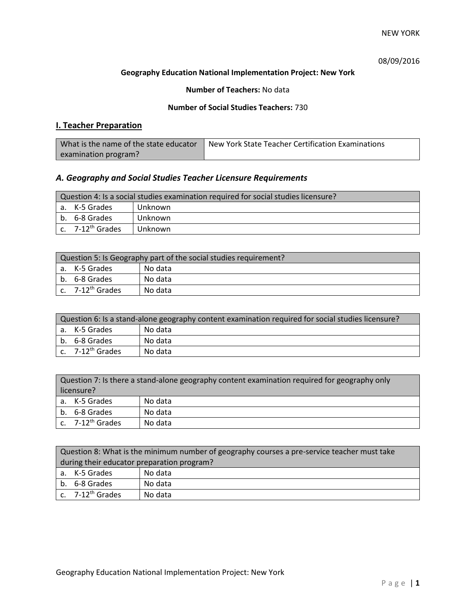## 08/09/2016

### **Geography Education National Implementation Project: New York**

### **Number of Teachers:** No data

#### **Number of Social Studies Teachers:** 730

## **I. Teacher Preparation**

| What is the name of the state educator | New York State Teacher Certification Examinations |
|----------------------------------------|---------------------------------------------------|
| examination program?                   |                                                   |

## *A. Geography and Social Studies Teacher Licensure Requirements*

| Question 4: Is a social studies examination required for social studies licensure? |                       |         |  |
|------------------------------------------------------------------------------------|-----------------------|---------|--|
|                                                                                    | a. K-5 Grades         | Unknown |  |
|                                                                                    | b. 6-8 Grades         | Unknown |  |
|                                                                                    | c. $7-12^{th}$ Grades | Unknown |  |

| Question 5: Is Geography part of the social studies requirement? |                              |         |
|------------------------------------------------------------------|------------------------------|---------|
|                                                                  | l a. K-5 Grades              | No data |
|                                                                  | b. 6-8 Grades                | No data |
|                                                                  | c. 7-12 <sup>th</sup> Grades | No data |

| Question 6: Is a stand-alone geography content examination required for social studies licensure? |         |  |  |
|---------------------------------------------------------------------------------------------------|---------|--|--|
| l a. K-5 Grades                                                                                   | No data |  |  |
| b. 6-8 Grades                                                                                     | No data |  |  |
| $c.$ 7-12 <sup>th</sup> Grades                                                                    | No data |  |  |

| Question 7: Is there a stand-alone geography content examination required for geography only |                              |         |
|----------------------------------------------------------------------------------------------|------------------------------|---------|
| licensure?                                                                                   |                              |         |
|                                                                                              | a. K-5 Grades                | No data |
|                                                                                              | b. 6-8 Grades                | No data |
|                                                                                              | c. 7-12 <sup>th</sup> Grades | No data |

| Question 8: What is the minimum number of geography courses a pre-service teacher must take |         |  |
|---------------------------------------------------------------------------------------------|---------|--|
| during their educator preparation program?                                                  |         |  |
| a. K-5 Grades                                                                               | No data |  |
| b. 6-8 Grades                                                                               | No data |  |
| c. $7-12^{th}$ Grades                                                                       | No data |  |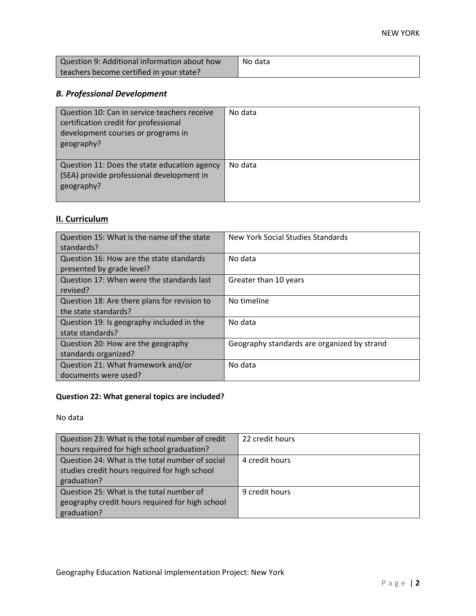| Question 9: Additional information about how | No data |
|----------------------------------------------|---------|
| teachers become certified in your state?     |         |

# *B. Professional Development*

| Question 10: Can in service teachers receive<br>certification credit for professional<br>development courses or programs in<br>geography? | No data |
|-------------------------------------------------------------------------------------------------------------------------------------------|---------|
| Question 11: Does the state education agency<br>(SEA) provide professional development in<br>geography?                                   | No data |

# **II. Curriculum**

| Question 15: What is the name of the state<br>standards?              | New York Social Studies Standards           |
|-----------------------------------------------------------------------|---------------------------------------------|
| Question 16: How are the state standards<br>presented by grade level? | No data                                     |
| Question 17: When were the standards last<br>revised?                 | Greater than 10 years                       |
| Question 18: Are there plans for revision to<br>the state standards?  | No timeline                                 |
| Question 19: Is geography included in the<br>state standards?         | No data                                     |
| Question 20: How are the geography<br>standards organized?            | Geography standards are organized by strand |
| Question 21: What framework and/or<br>documents were used?            | No data                                     |

# **Question 22: What general topics are included?**

No data

| Question 23: What is the total number of credit | 22 credit hours |
|-------------------------------------------------|-----------------|
| hours required for high school graduation?      |                 |
| Question 24: What is the total number of social | 4 credit hours  |
| studies credit hours required for high school   |                 |
| graduation?                                     |                 |
| Question 25: What is the total number of        | 9 credit hours  |
| geography credit hours required for high school |                 |
| graduation?                                     |                 |